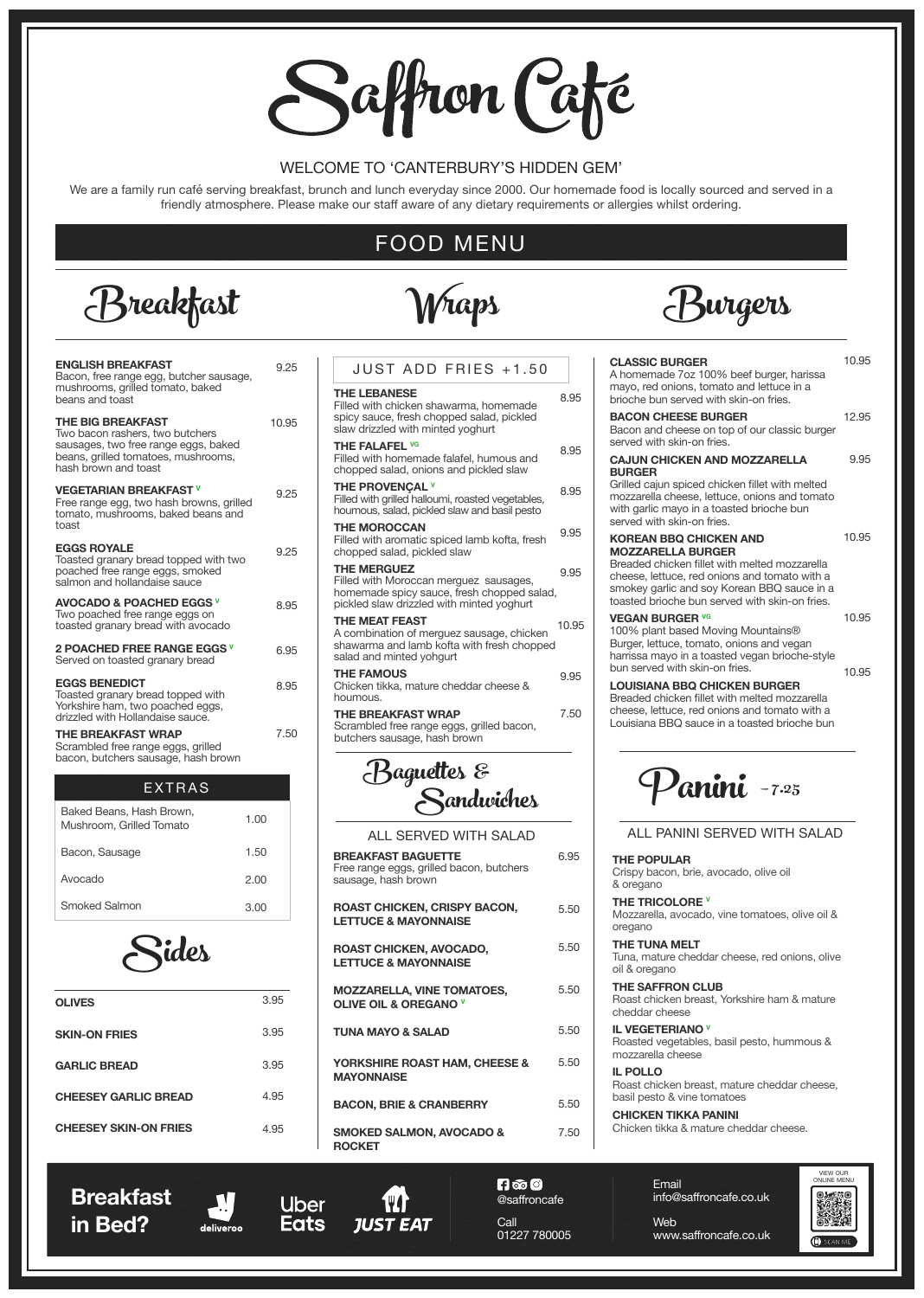# Saffron Café

## WELCOME TO 'CANTERBURY'S HIDDEN GEM'

We are a family run café serving breakfast, brunch and lunch everyday since 2000. Our homemade food is locally sourced and served in a friendly atmosphere. Please make our staff aware of any dietary requirements or allergies whilst ordering.



## haps

## FOOD MENU



**LOUISIANA BBQ CHICKEN BURGER** Breaded chicken fillet with melted mozzarella cheese, lettuce, red onions and tomato with a Louisiana BBQ sauce in a toasted brioche bun

| <b>ENGLISH BREAKFAST</b><br>Bacon, free range egg, butcher sausage,                                                                                                | 9.25  |                                            |
|--------------------------------------------------------------------------------------------------------------------------------------------------------------------|-------|--------------------------------------------|
| mushrooms, grilled tomato, baked<br>beans and toast                                                                                                                |       | THE<br>Fille                               |
| <b>THE BIG BREAKFAST</b><br>Two bacon rashers, two butchers<br>sausages, two free range eggs, baked<br>beans, grilled tomatoes, mushrooms,<br>hash brown and toast | 10.95 | spic<br>slav<br>THE<br>Fille<br>cho        |
| <b>VEGETARIAN BREAKFAST V</b><br>Free range egg, two hash browns, grilled<br>tomato, mushrooms, baked beans and                                                    | 9.25  | <b>THE</b><br>Fille<br>hou                 |
| toast<br><b>EGGS ROYALE</b><br>Toasted granary bread topped with two<br>poached free range eggs, smoked                                                            | 9.25  | THE<br>Fille<br>cho<br>THE                 |
| salmon and hollandaise sauce<br><b>AVOCADO &amp; POACHED EGGS V</b><br>Two poached free range eggs on<br>toasted granary bread with avocado                        | 8.95  | Fille<br>hon<br>pick<br><b>THE</b><br>A co |
| <b>2 POACHED FREE RANGE EGGS V</b><br>Served on toasted granary bread                                                                                              | 6.95  | sha<br>sala                                |
| <b>EGGS BENEDICT</b><br>Toasted granary bread topped with<br>Yorkshire ham, two poached eggs,                                                                      | 8.95  | THE<br>Chi<br>hou                          |
| drizzled with Hollandaise sauce.<br><b>THE BREAKFAST WRAP</b><br>Scrambled free range eggs, grilled<br>bacon, butchers sausage, hash brown                         | 7.50  | THE<br>Scra<br>but                         |
|                                                                                                                                                                    |       |                                            |

| <b>CLASSIC BURGER</b><br>A homemade 7oz 100% beef burger, harissa<br>mayo, red onions, tomato and lettuce in a<br>brioche bun served with skin-on fries.                                                                                                     | 10.95 |
|--------------------------------------------------------------------------------------------------------------------------------------------------------------------------------------------------------------------------------------------------------------|-------|
| <b>BACON CHEESE BURGER</b><br>Bacon and cheese on top of our classic burger<br>served with skin-on fries.                                                                                                                                                    | 12.95 |
| <b>CAJUN CHICKEN AND MOZZARELLA</b>                                                                                                                                                                                                                          | 9.95  |
| <b>BURGER</b><br>Grilled cajun spiced chicken fillet with melted<br>mozzarella cheese, lettuce, onions and tomato<br>with garlic mayo in a toasted brioche bun<br>served with skin-on fries.                                                                 |       |
| <b>KOREAN BBQ CHICKEN AND</b><br><b>MOZZARELLA BURGER</b><br>Breaded chicken fillet with melted mozzarella<br>cheese, lettuce, red onions and tomato with a<br>smokey garlic and soy Korean BBQ sauce in a<br>toasted brioche bun served with skin-on fries. | 10.95 |
| <b>VEGAN BURGER VG</b>                                                                                                                                                                                                                                       | 10.95 |



100% plant based Moving Mountains® Burger, lettuce, tomato, onions and vegan harrissa mayo in a toasted vegan brioche-style bun served with skin-on fries. 10.95

## **THE POPULAR**

Crispy bacon, brie, avocado, olive oil & oregano

## **THE TRICOLORE V**

Mozzarella, avocado, vine tomatoes, olive oil & oregano

## **THE TUNA MELT**

Tuna, mature cheddar cheese, red onions, olive

oil & oregano

| JUST ADD FRIES +1.50                                                                                                                                    |       |
|---------------------------------------------------------------------------------------------------------------------------------------------------------|-------|
| <b>THE LEBANESE</b><br>Filled with chicken shawarma, homemade<br>spicy sauce, fresh chopped salad, pickled<br>slaw drizzled with minted yoghurt         | 8.95  |
| <b>THE FALAFEL VG</b><br>Filled with homemade falafel, humous and<br>chopped salad, onions and pickled slaw                                             | 8.95  |
| THE PROVENCAL V<br>Filled with grilled halloumi, roasted vegetables,<br>houmous, salad, pickled slaw and basil pesto                                    | 8.95  |
| <b>THE MOROCCAN</b><br>Filled with aromatic spiced lamb kofta, fresh<br>chopped salad, pickled slaw                                                     | 9.95  |
| <b>THE MERGUEZ</b><br>Filled with Moroccan merguez sausages,<br>homemade spicy sauce, fresh chopped salad,<br>pickled slaw drizzled with minted yoghurt | 9.95  |
| <b>THE MEAT FEAST</b><br>A combination of merguez sausage, chicken<br>shawarma and lamb kofta with fresh chopped<br>salad and minted yohgurt            | 10.95 |
| <b>THE FAMOUS</b><br>Chicken tikka, mature cheddar cheese &<br>houmous.                                                                                 | 9.95  |
| <b>THE BREAKFAST WRAP</b><br>Scrambled free range eggs, grilled bacon,<br>butchers sausage, hash brown                                                  | 7.50  |
|                                                                                                                                                         |       |

**THE SAFFRON CLUB** Roast chicken breast, Yorkshire ham & mature cheddar cheese

**IL VEGETERIANO V** Roasted vegetables, basil pesto, hummous & mozzarella cheese

**IL POLLO** Roast chicken breast, mature cheddar cheese, basil pesto & vine tomatoes

**CHICKEN TIKKA PANINI** Chicken tikka & mature cheddar cheese.

## ALL PANINI SERVED WITH SALAD

| Bacon, Sausage<br>Avocado    | 1.50<br>2.00 | <b>BREAKFAST BAGUETTE</b><br>Free range eggs, grilled bacon, butchers<br>sausage, hash brown | 6.95 |
|------------------------------|--------------|----------------------------------------------------------------------------------------------|------|
| <b>Smoked Salmon</b>         | 3.00         | <b>ROAST CHICKEN, CRISPY BACON,</b><br><b>LETTUCE &amp; MAYONNAISE</b>                       | 5.50 |
| Sides                        |              | <b>ROAST CHICKEN, AVOCADO,</b><br><b>LETTUCE &amp; MAYONNAISE</b>                            | 5.50 |
| <b>OLIVES</b>                | 3.95         | <b>MOZZARELLA, VINE TOMATOES,</b><br>OLIVE OIL & OREGANO V                                   | 5.50 |
| <b>SKIN-ON FRIES</b>         | 3.95         | <b>TUNA MAYO &amp; SALAD</b>                                                                 | 5.50 |
| <b>GARLIC BREAD</b>          | 3.95         | YORKSHIRE ROAST HAM, CHEESE &<br><b>MAYONNAISE</b>                                           | 5.50 |
| <b>CHEESEY GARLIC BREAD</b>  | 4.95         | <b>BACON, BRIE &amp; CRANBERRY</b>                                                           | 5.50 |
| <b>CHEESEY SKIN-ON FRIES</b> | 4.95         | <b>SMOKED SALMON, AVOCADO &amp;</b><br><b>ROCKET</b>                                         | 7.50 |





## ALL SERVED WITH SALAD

10.95

| EXTRAS                                               |      |
|------------------------------------------------------|------|
| Baked Beans, Hash Brown,<br>Mushroom, Grilled Tomato | 1.00 |
| Bacon, Sausage                                       | 1.50 |
| Avocado                                              | 2.00 |
| <b>Smoked Salmon</b>                                 |      |